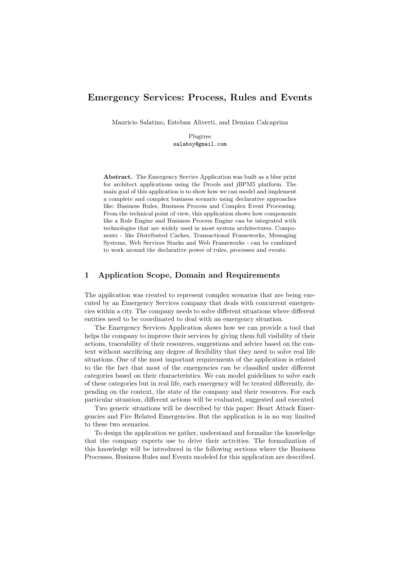# Emergency Services: Process, Rules and Events

Mauricio Salatino, Esteban Aliverti, and Demian Calcaprina

Plugtree salaboy@gmail.com

Abstract. The Emergency Service Application was built as a blue print for architect applications using the Drools and jBPM5 platform. The main goal of this application is to show how we can model and implement a complete and complex business scenario using declarative approaches like: Business Rules, Business Process and Complex Event Processing. From the technical point of view, this application shows how components like a Rule Engine and Business Process Engine can be integrated with technologies that are widely used in most system architectures. Components - like Distributed Caches, Transactional Frameworks, Messaging Systems, Web Services Stacks and Web Frameworks - can be combined to work around the declarative power of rules, processes and events.

### 1 Application Scope, Domain and Requirements

The application was created to represent complex scenarios that are being executed by an Emergency Services company that deals with concurrent emergencies within a city. The company needs to solve different situations where different entities need to be coordinated to deal with an emergency situation.

The Emergency Services Application shows how we can provide a tool that helps the company to improve their services by giving them full visibility of their actions, traceability of their resources, suggestions and advice based on the context without sacrificing any degree of flexibility that they need to solve real life situations. One of the most important requirements of the application is related to the the fact that most of the emergencies can be classified under different categories based on their characteristics. We can model guidelines to solve each of these categories but in real life, each emergency will be treated differently, depending on the context, the state of the company and their resources. For each particular situation, different actions will be evaluated, suggested and executed.

Two generic situations will be described by this paper: Heart Attack Emergencies and Fire Related Emergencies. But the application is in no way limited to these two scenarios.

To design the application we gather, understand and formalize the knowledge that the company experts use to drive their activities. The formalization of this knowledge will be introduced in the following sections where the Business Processes, Business Rules and Events modeled for this application are described.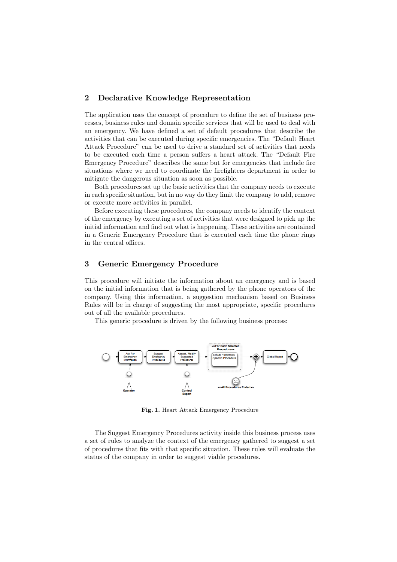# 2 Declarative Knowledge Representation

The application uses the concept of procedure to define the set of business processes, business rules and domain specific services that will be used to deal with an emergency. We have defined a set of default procedures that describe the activities that can be executed during specific emergencies. The "Default Heart Attack Procedure" can be used to drive a standard set of activities that needs to be executed each time a person suffers a heart attack. The "Default Fire Emergency Procedure" describes the same but for emergencies that include fire situations where we need to coordinate the firefighters department in order to mitigate the dangerous situation as soon as possible.

Both procedures set up the basic activities that the company needs to execute in each specific situation, but in no way do they limit the company to add, remove or execute more activities in parallel.

Before executing these procedures, the company needs to identify the context of the emergency by executing a set of activities that were designed to pick up the initial information and find out what is happening. These activities are contained in a Generic Emergency Procedure that is executed each time the phone rings in the central offices.

### 3 Generic Emergency Procedure

This procedure will initiate the information about an emergency and is based on the initial information that is being gathered by the phone operators of the company. Using this information, a suggestion mechanism based on Business Rules will be in charge of suggesting the most appropriate, specific procedures out of all the available procedures.

This generic procedure is driven by the following business process:



Fig. 1. Heart Attack Emergency Procedure

The Suggest Emergency Procedures activity inside this business process uses a set of rules to analyze the context of the emergency gathered to suggest a set of procedures that fits with that specific situation. These rules will evaluate the status of the company in order to suggest viable procedures.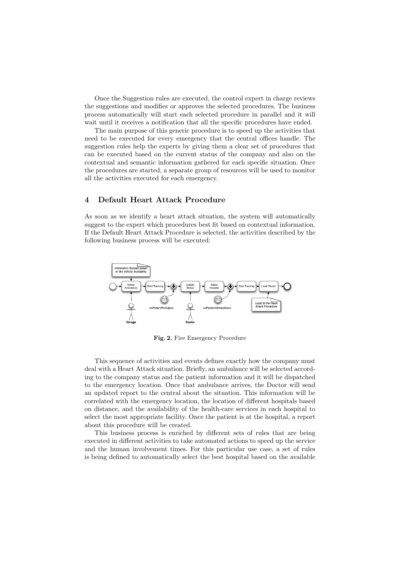Once the Suggestion rules are executed, the control expert in charge reviews the suggestions and modifies or approves the selected procedures. The business process automatically will start each selected procedure in parallel and it will wait until it receives a notification that all the specific procedures have ended.

The main purpose of this generic procedure is to speed up the activities that need to be executed for every emergency that the central offices handle. The suggestion rules help the experts by giving them a clear set of procedures that can be executed based on the current status of the company and also on the contextual and semantic information gathered for each specific situation. Once the procedures are started, a separate group of resources will be used to monitor all the activities executed for each emergency.

#### 4 Default Heart Attack Procedure

As soon as we identify a heart attack situation, the system will automatically suggest to the expert which procedures best fit based on contextual information. If the Default Heart Attack Procedure is selected, the activities described by the following business process will be executed:



Fig. 2. Fire Emergency Procedure

This sequence of activities and events defines exactly how the company must deal with a Heart Attack situation. Briefly, an ambulance will be selected according to the company status and the patient information and it will be dispatched to the emergency location. Once that ambulance arrives, the Doctor will send an updated report to the central about the situation. This information will be correlated with the emergency location, the location of different hospitals based on distance, and the availability of the health-care services in each hospital to select the most appropriate facility. Once the patient is at the hospital, a report about this procedure will be created.

This business process is enriched by different sets of rules that are being executed in different activities to take automated actions to speed up the service and the human involvement times. For this particular use case, a set of rules is being defined to automatically select the best hospital based on the available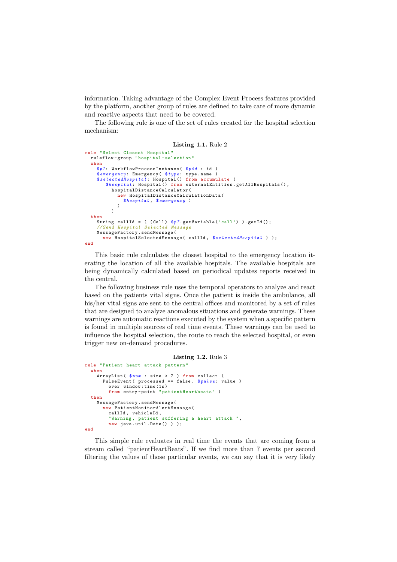information. Taking advantage of the Complex Event Process features provided by the platform, another group of rules are defined to take care of more dynamic and reactive aspects that need to be covered.

The following rule is one of the set of rules created for the hospital selection mechanism:

```
Listing 1.1. Rule 2
rule " Select Closest Hospital "
  ruleflow -group " hospital - selection "
  when
    $pI : WorkflowProcessInstance( $pid : id )
     $emergency : Emergency( $type : type.name )
$selectedHospital : Hospital() from accumulate (
       $hospital : Hospital() from externalEntities.getAllHospitals(),
          hospitalDistanceCalculator(
            new HospitalDistanceCalculationData(
              $hospital , $emergency )
            )
          \lambdathen
    String callId = ((Call) $pI.getVariable("call") ).getId();
    // Send Hospital Selected Message
    MessageFactory.sendMessage(
      new HospitalSelectedMessage( callId , $selectedHospital ) );
end
```
This basic rule calculates the closest hospital to the emergency location iterating the location of all the available hospitals. The available hospitals are being dynamically calculated based on periodical updates reports received in the central.

The following business rule uses the temporal operators to analyze and react based on the patients vital signs. Once the patient is inside the ambulance, all his/her vital signs are sent to the central offices and monitored by a set of rules that are designed to analyze anomalous situations and generate warnings. These warnings are automatic reactions executed by the system when a specific pattern is found in multiple sources of real time events. These warnings can be used to influence the hospital selection, the route to reach the selected hospital, or even trigger new on-demand procedures.

```
Listing 1.2. Rule 3
rule " Patient heart attack pattern "
  when
    ArrayList( $num : size > 7 ) from collect (
       PulseEvent ( processed == false, $pulse: value )<br>over window:time(1s)
        from entry-point "patientHeartbeats")
  then
    MessageFactory.sendMessage(
      new PatientMonitorAlertMessage(
        callId , vehicleId ,
         " Warning , patient suffering a heart attack ",
        new java.util.Date() ) ):
end
```
This simple rule evaluates in real time the events that are coming from a stream called "patientHeartBeats". If we find more than 7 events per second filtering the values of those particular events, we can say that it is very likely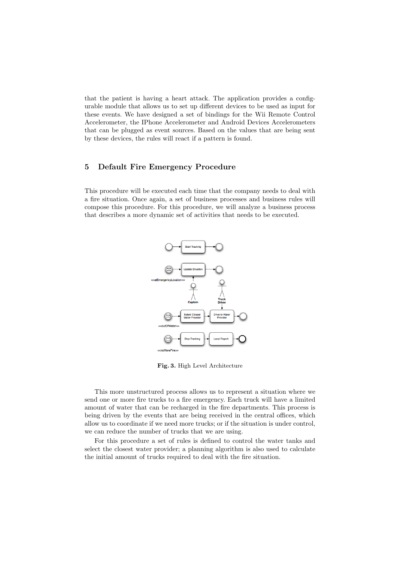that the patient is having a heart attack. The application provides a configurable module that allows us to set up different devices to be used as input for these events. We have designed a set of bindings for the Wii Remote Control Accelerometer, the IPhone Accelerometer and Android Devices Accelerometers that can be plugged as event sources. Based on the values that are being sent by these devices, the rules will react if a pattern is found.

# 5 Default Fire Emergency Procedure

This procedure will be executed each time that the company needs to deal with a fire situation. Once again, a set of business processes and business rules will compose this procedure. For this procedure, we will analyze a business process that describes a more dynamic set of activities that needs to be executed.



Fig. 3. High Level Architecture

This more unstructured process allows us to represent a situation where we send one or more fire trucks to a fire emergency. Each truck will have a limited amount of water that can be recharged in the fire departments. This process is being driven by the events that are being received in the central offices, which allow us to coordinate if we need more trucks; or if the situation is under control, we can reduce the number of trucks that we are using.

For this procedure a set of rules is defined to control the water tanks and select the closest water provider; a planning algorithm is also used to calculate the initial amount of trucks required to deal with the fire situation.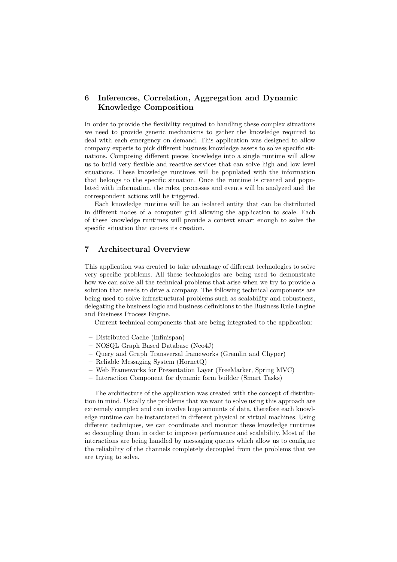# 6 Inferences, Correlation, Aggregation and Dynamic Knowledge Composition

In order to provide the flexibility required to handling these complex situations we need to provide generic mechanisms to gather the knowledge required to deal with each emergency on demand. This application was designed to allow company experts to pick different business knowledge assets to solve specific situations. Composing different pieces knowledge into a single runtime will allow us to build very flexible and reactive services that can solve high and low level situations. These knowledge runtimes will be populated with the information that belongs to the specific situation. Once the runtime is created and populated with information, the rules, processes and events will be analyzed and the correspondent actions will be triggered.

Each knowledge runtime will be an isolated entity that can be distributed in different nodes of a computer grid allowing the application to scale. Each of these knowledge runtimes will provide a context smart enough to solve the specific situation that causes its creation.

# 7 Architectural Overview

This application was created to take advantage of different technologies to solve very specific problems. All these technologies are being used to demonstrate how we can solve all the technical problems that arise when we try to provide a solution that needs to drive a company. The following technical components are being used to solve infrastructural problems such as scalability and robustness, delegating the business logic and business definitions to the Business Rule Engine and Business Process Engine.

Current technical components that are being integrated to the application:

- Distributed Cache (Infinispan)
- NOSQL Graph Based Database (Neo4J)
- Query and Graph Transversal frameworks (Gremlin and Chyper)
- Reliable Messaging System (HornetQ)
- Web Frameworks for Presentation Layer (FreeMarker, Spring MVC)
- Interaction Component for dynamic form builder (Smart Tasks)

The architecture of the application was created with the concept of distribution in mind. Usually the problems that we want to solve using this approach are extremely complex and can involve huge amounts of data, therefore each knowledge runtime can be instantiated in different physical or virtual machines. Using different techniques, we can coordinate and monitor these knowledge runtimes so decoupling them in order to improve performance and scalability. Most of the interactions are being handled by messaging queues which allow us to configure the reliability of the channels completely decoupled from the problems that we are trying to solve.